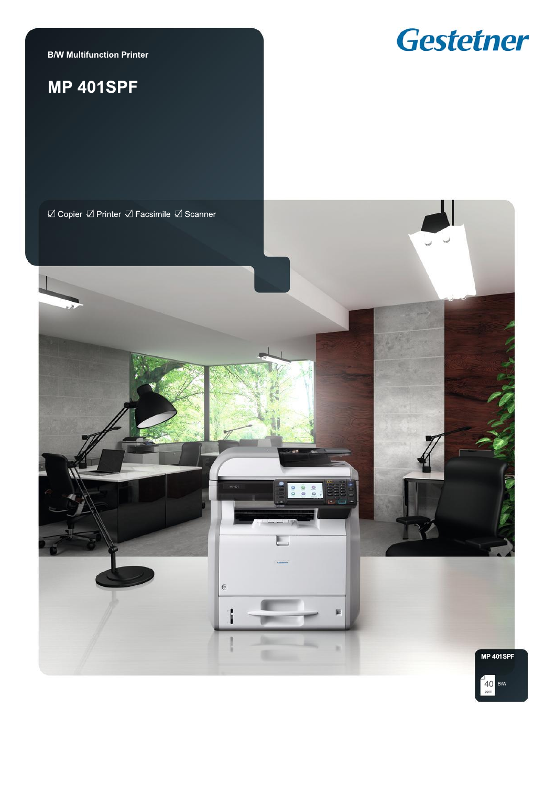**B/W Multifunction Printer** 

# **MP 401SPF**



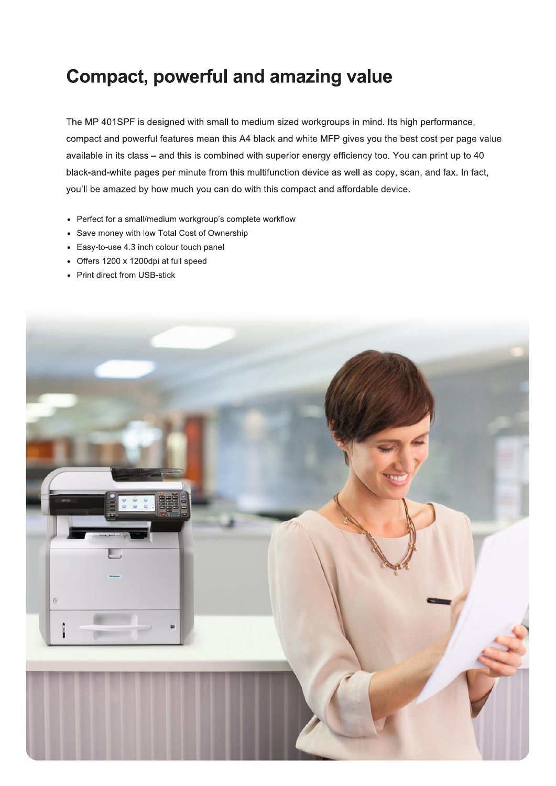# **Compact, powerful and amazing value**

The MP 401SPF is designed with small to medium sized workgroups in mind. Its high performance, compact and powerful features mean this A4 black and white MFP gives you the best cost per page value available in its class - and this is combined with superior energy efficiency too. You can print up to 40 black-and-white pages per minute from this multifunction device as well as copy, scan, and fax. In fact, you'll be amazed by how much you can do with this compact and affordable device.

- Perfect for a small/medium workgroup's complete workflow
- Save money with low Total Cost of Ownership
- Easy-to-use 4.3 inch colour touch panel
- Offers 1200 x 1200dpi at full speed
- Print direct from USB-stick

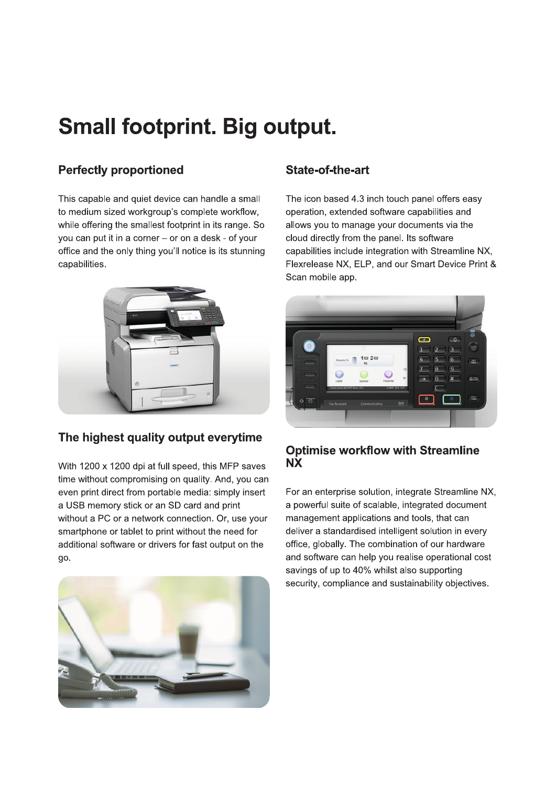# **Small footprint. Big output.**

# **Perfectly proportioned**

This capable and quiet device can handle a small to medium sized workgroup's complete workflow. while offering the smallest footprint in its range. So you can put it in a corner - or on a desk - of your office and the only thing you'll notice is its stunning capabilities.



## The highest quality output everytime

With 1200 x 1200 dpi at full speed, this MFP saves time without compromising on quality. And, you can even print direct from portable media: simply insert a USB memory stick or an SD card and print without a PC or a network connection. Or, use your smartphone or tablet to print without the need for additional software or drivers for fast output on the go.



## State-of-the-art

The icon based 4.3 inch touch panel offers easy operation, extended software capabilities and allows you to manage your documents via the cloud directly from the panel. Its software capabilities include integration with Streamline NX, Flexrelease NX, ELP, and our Smart Device Print & Scan mobile app.



### **Optimise workflow with Streamline NX**

For an enterprise solution, integrate Streamline NX, a powerful suite of scalable, integrated document management applications and tools, that can deliver a standardised intelligent solution in every office, globally. The combination of our hardware and software can help you realise operational cost savings of up to 40% whilst also supporting security, compliance and sustainability objectives.